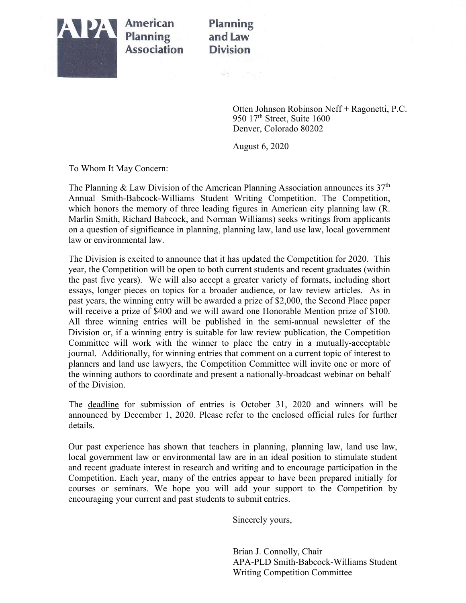

**American Planning Association** 

## **Planning** and Law **Division**

정신 - 가능

Otten Johnson Robinson Neff + Ragonetti, P.C. 950 17<sup>th</sup> Street, Suite 1600 Denver, Colorado 80202

August 6, 2020

To Whom It May Concern:

The Planning & Law Division of the American Planning Association announces its  $37<sup>th</sup>$ Annual Smith-Babcock-Williams Student Writing Competition. The Competition, which honors the memory of three leading figures in American city planning law (R. Marlin Smith, Richard Babcock, and Norman Williams) seeks writings from applicants on a question of significance in planning, planning law, land use law, local government law or environmental law.

The Division is excited to announce that it has updated the Competition for 2020. This year, the Competition will be open to both current students and recent graduates (within the past five years). We will also accept a greater variety of formats, including short essays, longer pieces on topics for a broader audience, or law review articles. As in past years, the winning entry will be awarded a prize of \$2,000, the Second Place paper will receive a prize of \$400 and we will award one Honorable Mention prize of \$100. All three winning entries will be published in the semi-annual newsletter of the Division or, if a winning entry is suitable for law review publication, the Competition Committee will work with the winner to place the entry in a mutually-acceptable journal. Additionally, for winning entries that comment on a current topic of interest to planners and land use lawyers, the Competition Committee will invite one or more of the winning authors to coordinate and present a nationally-broadcast webinar on behalf of the Division.

The deadline for submission of entries is October 31, 2020 and winners will be announced by December 1, 2020. Please refer to the enclosed official rules for further details.

Our past experience has shown that teachers in planning, planning law, land use law, local government law or environmental law are in an ideal position to stimulate student and recent graduate interest in research and writing and to encourage participation in the Competition. Each year, many of the entries appear to have been prepared initially for courses or seminars. We hope you will add your support to the Competition by encouraging your current and past students to submit entries.

Sincerely yours,

Brian J. Connolly, Chair APA-PLD Smith-Babcock-Williams Student Writing Competition Committee